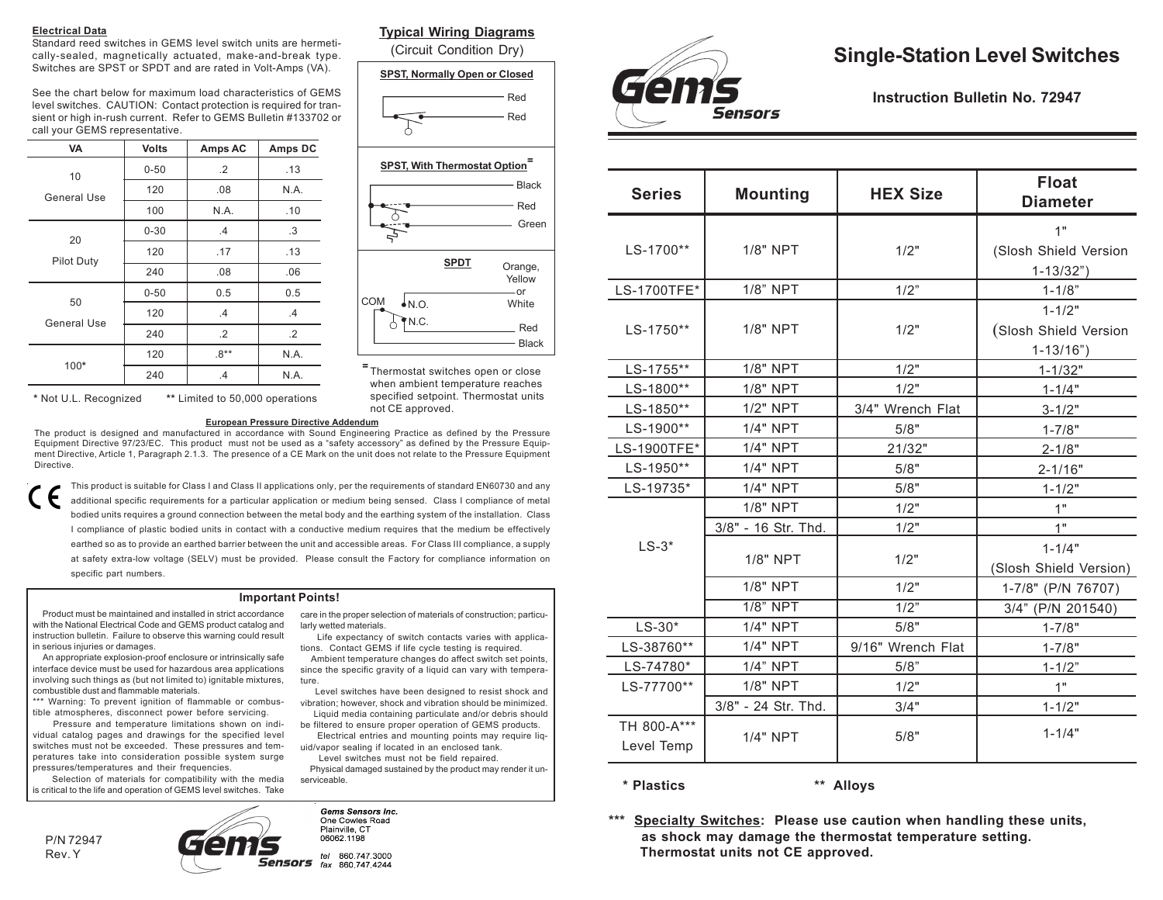#### **Electrical Data**

Standard reed switches in GEMS level switch units are hermetically-sealed, magnetically actuated, make-and-break type. Switches are SPST or SPDT and are rated in Volt-Amps (VA).

See the chart below for maximum load characteristics of GEMS level switches. CAUTION: Contact protection is required for transient or high in-rush current. Refer to GEMS Bulletin #133702 or call your GEMS representative.

| <b>VA</b>               | <b>Volts</b> | Amps AC   | Amps DC    |
|-------------------------|--------------|-----------|------------|
| 10<br>General Use       | $0 - 50$     | $\cdot$ 2 | .13        |
|                         | 120          | .08       | N.A.       |
|                         | 100          | N.A.      | .10        |
| 20<br><b>Pilot Duty</b> | $0 - 30$     | .4        | $\cdot$ 3  |
|                         | 120          | .17       | .13        |
|                         | 240          | .08       | .06        |
| 50<br>General Use       | $0 - 50$     | 0.5       | 0.5        |
|                         | 120          | .4        | .4         |
|                         | 240          | $\cdot$   | $\cdot$ .2 |
|                         | 120          | $.8**$    | N.A.       |
| 100*                    | 240          | .4        | N.A.       |

#### **Typical Wiring Diagrams**

(Circuit Condition Dry)

#### **SPST, Normally Open or Closed**





**<sup>=</sup>** Thermostat switches open or close when ambient temperature reaches specified setpoint. Thermostat units not CE approved.

**\*** Not U.L. Recognized **\*\*** Limited to 50,000 operations

The product is designed and manufactured in accordance with Sound Engineering Practice as defined by the Pressure

This product is suitable for Class I and Class II applications only, per the requirements of standard EN60730 and any additional specific requirements for a particular application or medium being sensed. Class I compliance of metal bodied units requires a ground connection between the metal body and the earthing system of the installation. Class I compliance of plastic bodied units in contact with a conductive medium requires that the medium be effectively earthed so as to provide an earthed barrier between the unit and accessible areas. For Class III compliance, a supply at safety extra-low voltage (SELV) must be provided. Please consult the Factory for compliance information on specific part numbers.

#### **Important Points!**

 Product must be maintained and installed in strict accordance with the National Electrical Code and GEMS product catalog and instruction bulletin. Failure to observe this warning could result in serious injuries or damages.

 An appropriate explosion-proof enclosure or intrinsically safe interface device must be used for hazardous area applications involving such things as (but not limited to) ignitable mixtures, combustible dust and flammable materials.

\*\*\* Warning: To prevent ignition of flammable or combustible atmospheres, disconnect power before servicing.

 Pressure and temperature limitations shown on individual catalog pages and drawings for the specified level switches must not be exceeded. These pressures and temperatures take into consideration possible system surge pressures/temperatures and their frequencies.

 Selection of materials for compatibility with the media is critical to the life and operation of GEMS level switches. Take

P/N 72947 Rev. Y

ensors fax 860 747 4244 Sensors

# **Single-Station Level Switches**

**Instruction Bulletin No. 72947**

| 1"<br>1/8" NPT<br>1/2"<br>LS-1700**<br>(Slosh Shield Version<br>$1 - 13/32"$<br>1/8" NPT<br>LS-1700TFE*<br>1/2"<br>$1 - 1/8"$<br>$1 - 1/2"$<br>1/8" NPT<br>LS-1750**<br>1/2"<br>(Slosh Shield Version<br>$1 - 13/16"$<br>1/8" NPT<br>1/2"<br>LS-1755**<br>$1 - 1/32"$<br>1/8" NPT<br>LS-1800**<br>1/2"<br>$1 - 1/4"$<br>1/2" NPT<br>LS-1850**<br>3/4" Wrench Flat<br>$3 - 1/2"$<br>1/4" NPT<br>LS-1900**<br>5/8"<br>$1 - 7/8"$ |  |  |
|--------------------------------------------------------------------------------------------------------------------------------------------------------------------------------------------------------------------------------------------------------------------------------------------------------------------------------------------------------------------------------------------------------------------------------|--|--|
|                                                                                                                                                                                                                                                                                                                                                                                                                                |  |  |
|                                                                                                                                                                                                                                                                                                                                                                                                                                |  |  |
|                                                                                                                                                                                                                                                                                                                                                                                                                                |  |  |
|                                                                                                                                                                                                                                                                                                                                                                                                                                |  |  |
|                                                                                                                                                                                                                                                                                                                                                                                                                                |  |  |
|                                                                                                                                                                                                                                                                                                                                                                                                                                |  |  |
|                                                                                                                                                                                                                                                                                                                                                                                                                                |  |  |
|                                                                                                                                                                                                                                                                                                                                                                                                                                |  |  |
|                                                                                                                                                                                                                                                                                                                                                                                                                                |  |  |
|                                                                                                                                                                                                                                                                                                                                                                                                                                |  |  |
|                                                                                                                                                                                                                                                                                                                                                                                                                                |  |  |
| 1/4" NPT<br>LS-1900TFE*<br>21/32"<br>$2 - 1/8"$                                                                                                                                                                                                                                                                                                                                                                                |  |  |
| LS-1950**<br>1/4" NPT<br>5/8"<br>$2 - 1/16"$                                                                                                                                                                                                                                                                                                                                                                                   |  |  |
| 1/4" NPT<br>LS-19735*<br>5/8"<br>$1 - 1/2"$                                                                                                                                                                                                                                                                                                                                                                                    |  |  |
| 1/8" NPT<br>1/2"<br>1"                                                                                                                                                                                                                                                                                                                                                                                                         |  |  |
| 3/8" - 16 Str. Thd.<br>1"<br>1/2"                                                                                                                                                                                                                                                                                                                                                                                              |  |  |
| $LS-3*$<br>$1 - 1/4"$                                                                                                                                                                                                                                                                                                                                                                                                          |  |  |
| 1/8" NPT<br>1/2"<br>(Slosh Shield Version)                                                                                                                                                                                                                                                                                                                                                                                     |  |  |
| 1/8" NPT<br>1/2"<br>1-7/8" (P/N 76707)                                                                                                                                                                                                                                                                                                                                                                                         |  |  |
| $1/8$ " NPT<br>1/2"<br>3/4" (P/N 201540)                                                                                                                                                                                                                                                                                                                                                                                       |  |  |
| 1/4" NPT<br>$LS-30*$<br>5/8"<br>$1 - 7/8"$                                                                                                                                                                                                                                                                                                                                                                                     |  |  |
| LS-38760**<br>1/4" NPT<br>9/16" Wrench Flat<br>$1 - 7/8"$                                                                                                                                                                                                                                                                                                                                                                      |  |  |
| 1/4" NPT<br>LS-74780*<br>5/8"<br>$1 - 1/2"$                                                                                                                                                                                                                                                                                                                                                                                    |  |  |
| 1/8" NPT<br>1/2"<br>1"<br>LS-77700**                                                                                                                                                                                                                                                                                                                                                                                           |  |  |
| 3/8" - 24 Str. Thd.<br>3/4"<br>$1 - 1/2"$                                                                                                                                                                                                                                                                                                                                                                                      |  |  |
| TH 800-A***<br>$1 - 1/4"$                                                                                                                                                                                                                                                                                                                                                                                                      |  |  |
| 5/8"<br>1/4" NPT<br>Level Temp                                                                                                                                                                                                                                                                                                                                                                                                 |  |  |

**\* Plastics \*\* Alloys**

**\*\*\* Specialty Switches: Please use caution when handling these units, as shock may damage the thermostat temperature setting. Thermostat units not CE approved.**

**European Pressure Directive Addendum**

Equipment Directive 97/23/EC. This product must not be used as a "safety accessory" as defined by the Pressure Equipment Directive, Article 1, Paragraph 2.1.3. The presence of a CE Mark on the unit does not relate to the Pressure Equipment Directive.

care in the proper selection of materials of construction; particularly wetted materials. Life expectancy of switch contacts varies with applica-

tions. Contact GEMS if life cycle testing is required. Ambient temperature changes do affect switch set points,

since the specific gravity of a liquid can vary with temperature.

 Level switches have been designed to resist shock and vibration; however, shock and vibration should be minimized. Liquid media containing particulate and/or debris should

be filtered to ensure proper operation of GEMS products. Electrical entries and mounting points may require liq-

uid/vapor sealing if located in an enclosed tank. Level switches must not be field repaired.

 Physical damaged sustained by the product may render it unserviceable.

**Gems Sensors Inc.** One Cowles Road Plainville CT 06062 1198 tel 860.747.3000